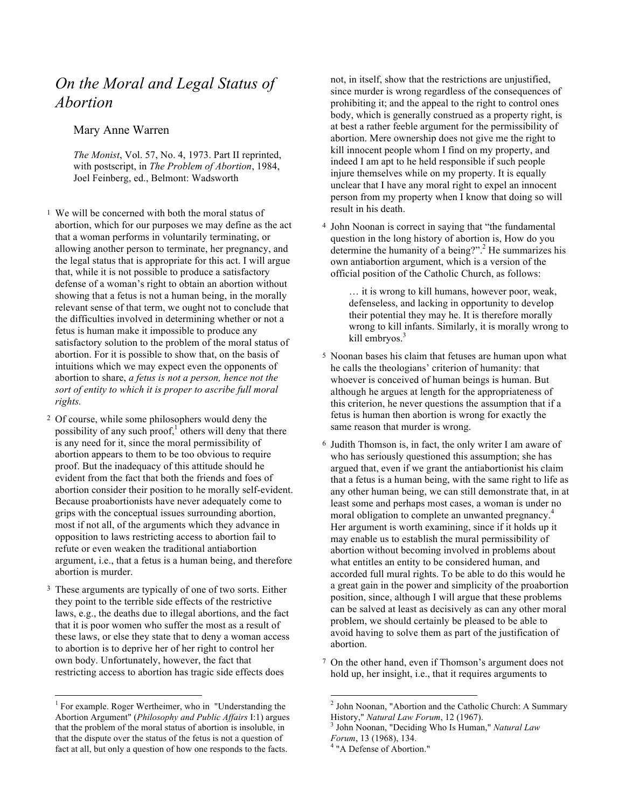# *On the Moral and Legal Status of Abortion*

Mary Anne Warren

*The Monist*, Vol. 57, No. 4, 1973. Part II reprinted, with postscript, in *The Problem of Abortion*, 1984, Joel Feinberg, ed., Belmont: Wadsworth

- 1 We will be concerned with both the moral status of abortion, which for our purposes we may define as the act that a woman performs in voluntarily terminating, or allowing another person to terminate, her pregnancy, and the legal status that is appropriate for this act. I will argue that, while it is not possible to produce a satisfactory defense of a woman's right to obtain an abortion without showing that a fetus is not a human being, in the morally relevant sense of that term, we ought not to conclude that the difficulties involved in determining whether or not a fetus is human make it impossible to produce any satisfactory solution to the problem of the moral status of abortion. For it is possible to show that, on the basis of intuitions which we may expect even the opponents of abortion to share, *a fetus is not a person, hence not the sort of entity to which it is proper to ascribe full moral rights.*
- 2 Of course, while some philosophers would deny the possibility of any such  $prod_{i=1}^{n}$  others will deny that there is any need for it, since the moral permissibility of abortion appears to them to be too obvious to require proof. But the inadequacy of this attitude should he evident from the fact that both the friends and foes of abortion consider their position to he morally self-evident. Because proabortionists have never adequately come to grips with the conceptual issues surrounding abortion, most if not all, of the arguments which they advance in opposition to laws restricting access to abortion fail to refute or even weaken the traditional antiabortion argument, i.e., that a fetus is a human being, and therefore abortion is murder.
- 3 These arguments are typically of one of two sorts. Either they point to the terrible side effects of the restrictive laws, e.g., the deaths due to illegal abortions, and the fact that it is poor women who suffer the most as a result of these laws, or else they state that to deny a woman access to abortion is to deprive her of her right to control her own body. Unfortunately, however, the fact that restricting access to abortion has tragic side effects does

not, in itself, show that the restrictions are unjustified, since murder is wrong regardless of the consequences of prohibiting it; and the appeal to the right to control ones body, which is generally construed as a property right, is at best a rather feeble argument for the permissibility of abortion. Mere ownership does not give me the right to kill innocent people whom I find on my property, and indeed I am apt to he held responsible if such people injure themselves while on my property. It is equally unclear that I have any moral right to expel an innocent person from my property when I know that doing so will result in his death.

4 John Noonan is correct in saying that "the fundamental question in the long history of abortion is, How do you determine the humanity of a being?".<sup>2</sup> He summarizes his own antiabortion argument, which is a version of the official position of the Catholic Church, as follows:

> … it is wrong to kill humans, however poor, weak, defenseless, and lacking in opportunity to develop their potential they may he. It is therefore morally wrong to kill infants. Similarly, it is morally wrong to kill embryos. $3$

- 5 Noonan bases his claim that fetuses are human upon what he calls the theologians' criterion of humanity: that whoever is conceived of human beings is human. But although he argues at length for the appropriateness of this criterion, he never questions the assumption that if a fetus is human then abortion is wrong for exactly the same reason that murder is wrong.
- 6 Judith Thomson is, in fact, the only writer I am aware of who has seriously questioned this assumption; she has argued that, even if we grant the antiabortionist his claim that a fetus is a human being, with the same right to life as any other human being, we can still demonstrate that, in at least some and perhaps most cases, a woman is under no moral obligation to complete an unwanted pregnancy. 4 Her argument is worth examining, since if it holds up it may enable us to establish the mural permissibility of abortion without becoming involved in problems about what entitles an entity to be considered human, and accorded full mural rights. To be able to do this would he a great gain in the power and simplicity of the proabortion position, since, although I will argue that these problems can be salved at least as decisively as can any other moral problem, we should certainly be pleased to be able to avoid having to solve them as part of the justification of abortion.
- 7 On the other hand, even if Thomson's argument does not hold up, her insight, i.e., that it requires arguments to

<sup>&</sup>lt;sup>1</sup> For example. Roger Wertheimer, who in "Understanding the Abortion Argument" (*Philosophy and Public Affairs* I:1) argues that the problem of the moral status of abortion is insoluble, in that the dispute over the status of the fetus is not a question of fact at all, but only a question of how one responds to the facts.

 <sup>2</sup> John Noonan, "Abortion and the Catholic Church: A Summary

History," *Natural Law Forum*, 12 (1967). <sup>3</sup> John Noonan, "Deciding Who Is Human," *Natural Law* 

<sup>&</sup>lt;sup>4</sup> "A Defense of Abortion."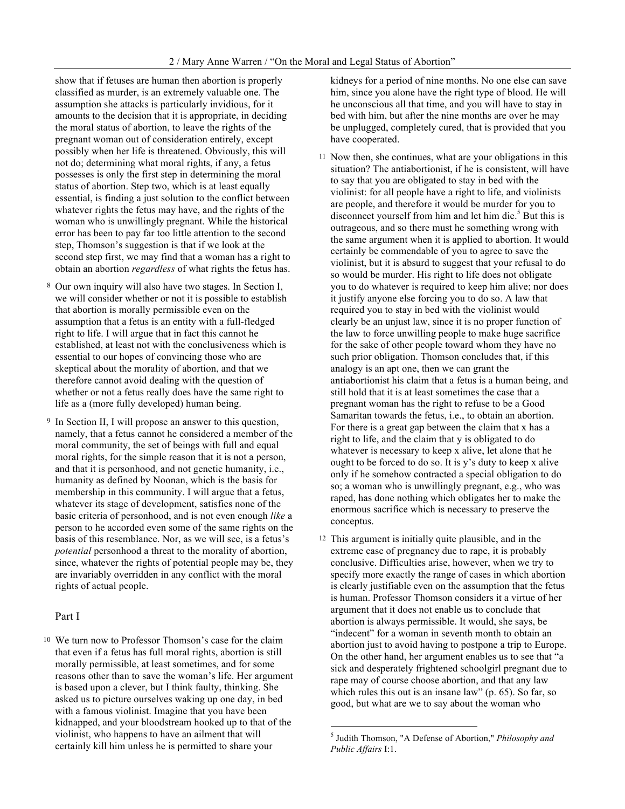show that if fetuses are human then abortion is properly classified as murder, is an extremely valuable one. The assumption she attacks is particularly invidious, for it amounts to the decision that it is appropriate, in deciding the moral status of abortion, to leave the rights of the pregnant woman out of consideration entirely, except possibly when her life is threatened. Obviously, this will not do; determining what moral rights, if any, a fetus possesses is only the first step in determining the moral status of abortion. Step two, which is at least equally essential, is finding a just solution to the conflict between whatever rights the fetus may have, and the rights of the woman who is unwillingly pregnant. While the historical error has been to pay far too little attention to the second step, Thomson's suggestion is that if we look at the second step first, we may find that a woman has a right to obtain an abortion *regardless* of what rights the fetus has.

- 8 Our own inquiry will also have two stages. In Section I, we will consider whether or not it is possible to establish that abortion is morally permissible even on the assumption that a fetus is an entity with a full-fledged right to life. I will argue that in fact this cannot he established, at least not with the conclusiveness which is essential to our hopes of convincing those who are skeptical about the morality of abortion, and that we therefore cannot avoid dealing with the question of whether or not a fetus really does have the same right to life as a (more fully developed) human being.
- 9 In Section II, I will propose an answer to this question, namely, that a fetus cannot he considered a member of the moral community, the set of beings with full and equal moral rights, for the simple reason that it is not a person, and that it is personhood, and not genetic humanity, i.e., humanity as defined by Noonan, which is the basis for membership in this community. I will argue that a fetus, whatever its stage of development, satisfies none of the basic criteria of personhood, and is not even enough *like* a person to he accorded even some of the same rights on the basis of this resemblance. Nor, as we will see, is a fetus's *potential* personhood a threat to the morality of abortion, since, whatever the rights of potential people may be, they are invariably overridden in any conflict with the moral rights of actual people.

# Part I

10 We turn now to Professor Thomson's case for the claim that even if a fetus has full moral rights, abortion is still morally permissible, at least sometimes, and for some reasons other than to save the woman's life. Her argument is based upon a clever, but I think faulty, thinking. She asked us to picture ourselves waking up one day, in bed with a famous violinist. Imagine that you have been kidnapped, and your bloodstream hooked up to that of the violinist, who happens to have an ailment that will certainly kill him unless he is permitted to share your

kidneys for a period of nine months. No one else can save him, since you alone have the right type of blood. He will he unconscious all that time, and you will have to stay in bed with him, but after the nine months are over he may be unplugged, completely cured, that is provided that you have cooperated.

- 11 Now then, she continues, what are your obligations in this situation? The antiabortionist, if he is consistent, will have to say that you are obligated to stay in bed with the violinist: for all people have a right to life, and violinists are people, and therefore it would be murder for you to disconnect yourself from him and let him die.<sup>5</sup> But this is outrageous, and so there must he something wrong with the same argument when it is applied to abortion. It would certainly be commendable of you to agree to save the violinist, but it is absurd to suggest that your refusal to do so would be murder. His right to life does not obligate you to do whatever is required to keep him alive; nor does it justify anyone else forcing you to do so. A law that required you to stay in bed with the violinist would clearly be an unjust law, since it is no proper function of the law to force unwilling people to make huge sacrifice for the sake of other people toward whom they have no such prior obligation. Thomson concludes that, if this analogy is an apt one, then we can grant the antiabortionist his claim that a fetus is a human being, and still hold that it is at least sometimes the case that a pregnant woman has the right to refuse to be a Good Samaritan towards the fetus, i.e., to obtain an abortion. For there is a great gap between the claim that x has a right to life, and the claim that y is obligated to do whatever is necessary to keep x alive, let alone that he ought to be forced to do so. It is y's duty to keep x alive only if he somehow contracted a special obligation to do so; a woman who is unwillingly pregnant, e.g., who was raped, has done nothing which obligates her to make the enormous sacrifice which is necessary to preserve the conceptus.
- 12 This argument is initially quite plausible, and in the extreme case of pregnancy due to rape, it is probably conclusive. Difficulties arise, however, when we try to specify more exactly the range of cases in which abortion is clearly justifiable even on the assumption that the fetus is human. Professor Thomson considers it a virtue of her argument that it does not enable us to conclude that abortion is always permissible. It would, she says, be "indecent" for a woman in seventh month to obtain an abortion just to avoid having to postpone a trip to Europe. On the other hand, her argument enables us to see that "a sick and desperately frightened schoolgirl pregnant due to rape may of course choose abortion, and that any law which rules this out is an insane law" (p. 65). So far, so good, but what are we to say about the woman who

 <sup>5</sup> Judith Thomson, "A Defense of Abortion," *Philosophy and Public Affairs* I:1.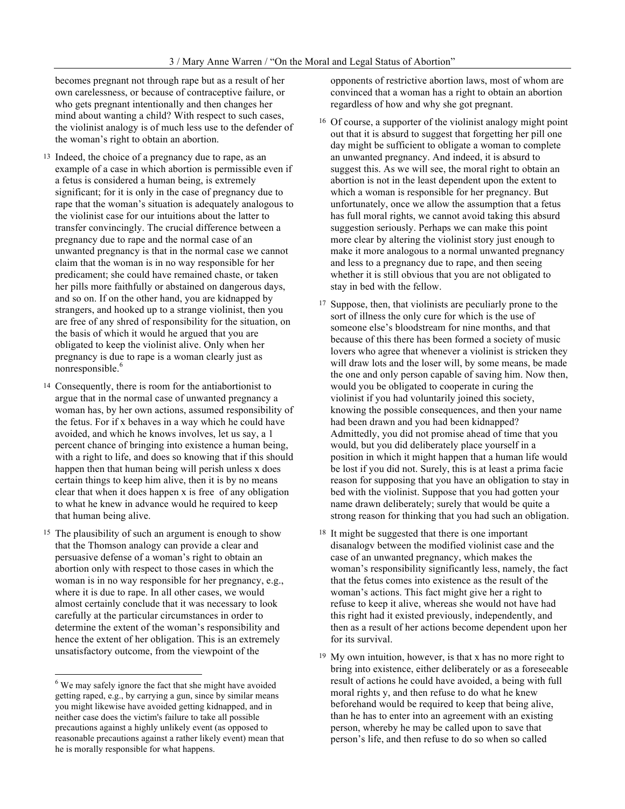becomes pregnant not through rape but as a result of her own carelessness, or because of contraceptive failure, or who gets pregnant intentionally and then changes her mind about wanting a child? With respect to such cases, the violinist analogy is of much less use to the defender of the woman's right to obtain an abortion.

- 13 Indeed, the choice of a pregnancy due to rape, as an example of a case in which abortion is permissible even if a fetus is considered a human being, is extremely significant; for it is only in the case of pregnancy due to rape that the woman's situation is adequately analogous to the violinist case for our intuitions about the latter to transfer convincingly. The crucial difference between a pregnancy due to rape and the normal case of an unwanted pregnancy is that in the normal case we cannot claim that the woman is in no way responsible for her predicament; she could have remained chaste, or taken her pills more faithfully or abstained on dangerous days, and so on. If on the other hand, you are kidnapped by strangers, and hooked up to a strange violinist, then you are free of any shred of responsibility for the situation, on the basis of which it would he argued that you are obligated to keep the violinist alive. Only when her pregnancy is due to rape is a woman clearly just as nonresponsible.<sup>6</sup>
- 14 Consequently, there is room for the antiabortionist to argue that in the normal case of unwanted pregnancy a woman has, by her own actions, assumed responsibility of the fetus. For if x behaves in a way which he could have avoided, and which he knows involves, let us say, a 1 percent chance of bringing into existence a human being, with a right to life, and does so knowing that if this should happen then that human being will perish unless x does certain things to keep him alive, then it is by no means clear that when it does happen x is free of any obligation to what he knew in advance would he required to keep that human being alive.
- 15 The plausibility of such an argument is enough to show that the Thomson analogy can provide a clear and persuasive defense of a woman's right to obtain an abortion only with respect to those cases in which the woman is in no way responsible for her pregnancy, e.g., where it is due to rape. In all other cases, we would almost certainly conclude that it was necessary to look carefully at the particular circumstances in order to determine the extent of the woman's responsibility and hence the extent of her obligation. This is an extremely unsatisfactory outcome, from the viewpoint of the

opponents of restrictive abortion laws, most of whom are convinced that a woman has a right to obtain an abortion regardless of how and why she got pregnant.

- 16 Of course, a supporter of the violinist analogy might point out that it is absurd to suggest that forgetting her pill one day might be sufficient to obligate a woman to complete an unwanted pregnancy. And indeed, it is absurd to suggest this. As we will see, the moral right to obtain an abortion is not in the least dependent upon the extent to which a woman is responsible for her pregnancy. But unfortunately, once we allow the assumption that a fetus has full moral rights, we cannot avoid taking this absurd suggestion seriously. Perhaps we can make this point more clear by altering the violinist story just enough to make it more analogous to a normal unwanted pregnancy and less to a pregnancy due to rape, and then seeing whether it is still obvious that you are not obligated to stay in bed with the fellow.
- 17 Suppose, then, that violinists are peculiarly prone to the sort of illness the only cure for which is the use of someone else's bloodstream for nine months, and that because of this there has been formed a society of music lovers who agree that whenever a violinist is stricken they will draw lots and the loser will, by some means, be made the one and only person capable of saving him. Now then, would you be obligated to cooperate in curing the violinist if you had voluntarily joined this society, knowing the possible consequences, and then your name had been drawn and you had been kidnapped? Admittedly, you did not promise ahead of time that you would, but you did deliberately place yourself in a position in which it might happen that a human life would be lost if you did not. Surely, this is at least a prima facie reason for supposing that you have an obligation to stay in bed with the violinist. Suppose that you had gotten your name drawn deliberately; surely that would be quite a strong reason for thinking that you had such an obligation.
- 18 It might be suggested that there is one important disanalogv between the modified violinist case and the case of an unwanted pregnancy, which makes the woman's responsibility significantly less, namely, the fact that the fetus comes into existence as the result of the woman's actions. This fact might give her a right to refuse to keep it alive, whereas she would not have had this right had it existed previously, independently, and then as a result of her actions become dependent upon her for its survival.
- 19 My own intuition, however, is that x has no more right to bring into existence, either deliberately or as a foreseeable result of actions he could have avoided, a being with full moral rights y, and then refuse to do what he knew beforehand would be required to keep that being alive, than he has to enter into an agreement with an existing person, whereby he may be called upon to save that person's life, and then refuse to do so when so called

<sup>&</sup>lt;sup>6</sup> We may safely ignore the fact that she might have avoided getting raped, e.g., by carrying a gun, since by similar means you might likewise have avoided getting kidnapped, and in neither case does the victim's failure to take all possible precautions against a highly unlikely event (as opposed to reasonable precautions against a rather likely event) mean that he is morally responsible for what happens.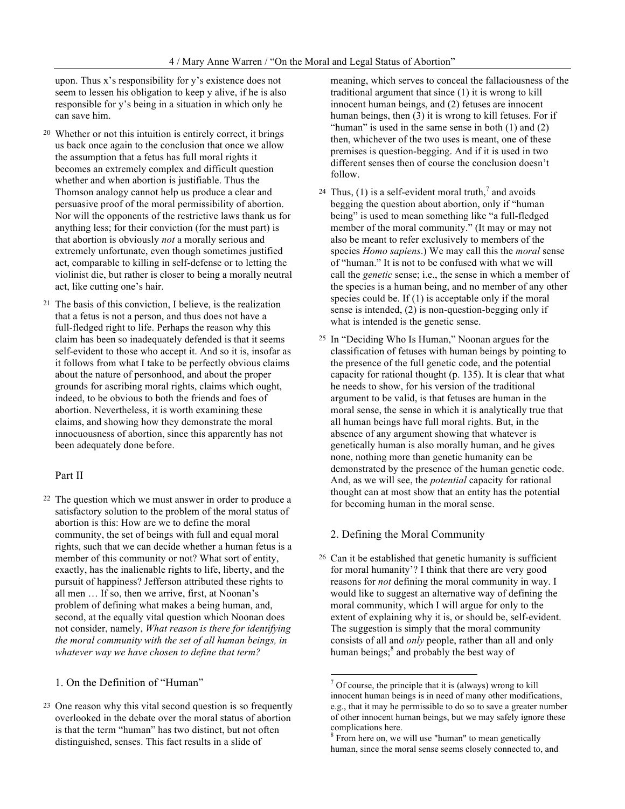upon. Thus x's responsibility for y's existence does not seem to lessen his obligation to keep y alive, if he is also responsible for y's being in a situation in which only he can save him.

- 20 Whether or not this intuition is entirely correct, it brings us back once again to the conclusion that once we allow the assumption that a fetus has full moral rights it becomes an extremely complex and difficult question whether and when abortion is justifiable. Thus the Thomson analogy cannot help us produce a clear and persuasive proof of the moral permissibility of abortion. Nor will the opponents of the restrictive laws thank us for anything less; for their conviction (for the must part) is that abortion is obviously *not* a morally serious and extremely unfortunate, even though sometimes justified act, comparable to killing in self-defense or to letting the violinist die, but rather is closer to being a morally neutral act, like cutting one's hair.
- 21 The basis of this conviction, I believe, is the realization that a fetus is not a person, and thus does not have a full-fledged right to life. Perhaps the reason why this claim has been so inadequately defended is that it seems self-evident to those who accept it. And so it is, insofar as it follows from what I take to be perfectly obvious claims about the nature of personhood, and about the proper grounds for ascribing moral rights, claims which ought, indeed, to be obvious to both the friends and foes of abortion. Nevertheless, it is worth examining these claims, and showing how they demonstrate the moral innocuousness of abortion, since this apparently has not been adequately done before.

# Part II

22 The question which we must answer in order to produce a satisfactory solution to the problem of the moral status of abortion is this: How are we to define the moral community, the set of beings with full and equal moral rights, such that we can decide whether a human fetus is a member of this community or not? What sort of entity, exactly, has the inalienable rights to life, liberty, and the pursuit of happiness? Jefferson attributed these rights to all men … If so, then we arrive, first, at Noonan's problem of defining what makes a being human, and, second, at the equally vital question which Noonan does not consider, namely, *What reason is there for identifying the moral community with the set of all human beings, in whatever way we have chosen to define that term?*

1. On the Definition of "Human"

meaning, which serves to conceal the fallaciousness of the traditional argument that since (1) it is wrong to kill innocent human beings, and (2) fetuses are innocent human beings, then (3) it is wrong to kill fetuses. For if "human" is used in the same sense in both  $(1)$  and  $(2)$ then, whichever of the two uses is meant, one of these premises is question-begging. And if it is used in two different senses then of course the conclusion doesn't follow.

- <sup>24</sup> Thus, (1) is a self-evident moral truth,<sup>7</sup> and avoids begging the question about abortion, only if "human being" is used to mean something like "a full-fledged member of the moral community." (It may or may not also be meant to refer exclusively to members of the species *Homo sapiens*.) We may call this the *moral* sense of "human." It is not to be confused with what we will call the *genetic* sense; i.e., the sense in which a member of the species is a human being, and no member of any other species could be. If (1) is acceptable only if the moral sense is intended, (2) is non-question-begging only if what is intended is the genetic sense.
- 25 In "Deciding Who Is Human," Noonan argues for the classification of fetuses with human beings by pointing to the presence of the full genetic code, and the potential capacity for rational thought (p. 135). It is clear that what he needs to show, for his version of the traditional argument to be valid, is that fetuses are human in the moral sense, the sense in which it is analytically true that all human beings have full moral rights. But, in the absence of any argument showing that whatever is genetically human is also morally human, and he gives none, nothing more than genetic humanity can be demonstrated by the presence of the human genetic code. And, as we will see, the *potential* capacity for rational thought can at most show that an entity has the potential for becoming human in the moral sense.

# 2. Defining the Moral Community

26 Can it be established that genetic humanity is sufficient for moral humanity'? I think that there are very good reasons for *not* defining the moral community in way. I would like to suggest an alternative way of defining the moral community, which I will argue for only to the extent of explaining why it is, or should be, self-evident. The suggestion is simply that the moral community consists of all and *only* people, rather than all and only human beings;<sup>8</sup> and probably the best way of

<sup>23</sup> One reason why this vital second question is so frequently overlooked in the debate over the moral status of abortion is that the term "human" has two distinct, but not often distinguished, senses. This fact results in a slide of

 $7$  Of course, the principle that it is (always) wrong to kill innocent human beings is in need of many other modifications, e.g., that it may he permissible to do so to save a greater number of other innocent human beings, but we may safely ignore these complications here.<br> $8$  From here on, we will use "human" to mean genetically

human, since the moral sense seems closely connected to, and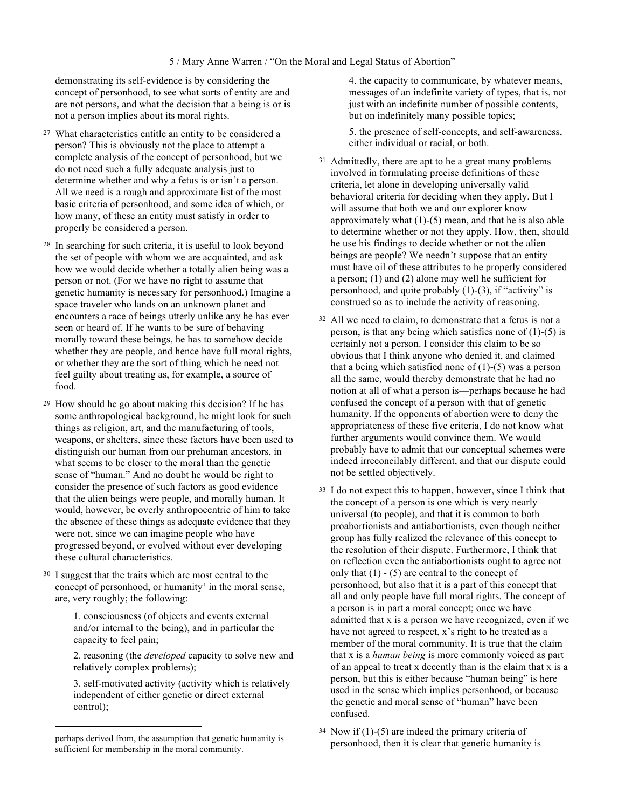demonstrating its self-evidence is by considering the concept of personhood, to see what sorts of entity are and are not persons, and what the decision that a being is or is not a person implies about its moral rights.

- 27 What characteristics entitle an entity to be considered a person? This is obviously not the place to attempt a complete analysis of the concept of personhood, but we do not need such a fully adequate analysis just to determine whether and why a fetus is or isn't a person. All we need is a rough and approximate list of the most basic criteria of personhood, and some idea of which, or how many, of these an entity must satisfy in order to properly be considered a person.
- 28 In searching for such criteria, it is useful to look beyond the set of people with whom we are acquainted, and ask how we would decide whether a totally alien being was a person or not. (For we have no right to assume that genetic humanity is necessary for personhood.) Imagine a space traveler who lands on an unknown planet and encounters a race of beings utterly unlike any he has ever seen or heard of. If he wants to be sure of behaving morally toward these beings, he has to somehow decide whether they are people, and hence have full moral rights, or whether they are the sort of thing which he need not feel guilty about treating as, for example, a source of food.
- 29 How should he go about making this decision? If he has some anthropological background, he might look for such things as religion, art, and the manufacturing of tools, weapons, or shelters, since these factors have been used to distinguish our human from our prehuman ancestors, in what seems to be closer to the moral than the genetic sense of "human." And no doubt he would be right to consider the presence of such factors as good evidence that the alien beings were people, and morally human. It would, however, be overly anthropocentric of him to take the absence of these things as adequate evidence that they were not, since we can imagine people who have progressed beyond, or evolved without ever developing these cultural characteristics.
- 30 I suggest that the traits which are most central to the concept of personhood, or humanity' in the moral sense, are, very roughly; the following:

1. consciousness (of objects and events external and/or internal to the being), and in particular the capacity to feel pain;

2. reasoning (the *developed* capacity to solve new and relatively complex problems);

3. self-motivated activity (activity which is relatively independent of either genetic or direct external control);

4. the capacity to communicate, by whatever means, messages of an indefinite variety of types, that is, not just with an indefinite number of possible contents, but on indefinitely many possible topics;

5. the presence of self-concepts, and self-awareness, either individual or racial, or both.

- 31 Admittedly, there are apt to he a great many problems involved in formulating precise definitions of these criteria, let alone in developing universally valid behavioral criteria for deciding when they apply. But I will assume that both we and our explorer know approximately what  $(1)-(5)$  mean, and that he is also able to determine whether or not they apply. How, then, should he use his findings to decide whether or not the alien beings are people? We needn't suppose that an entity must have oil of these attributes to he properly considered a person; (1) and (2) alone may well he sufficient for personhood, and quite probably (1)-(3), if "activity" is construed so as to include the activity of reasoning.
- 32 All we need to claim, to demonstrate that a fetus is not a person, is that any being which satisfies none of  $(1)-(5)$  is certainly not a person. I consider this claim to be so obvious that I think anyone who denied it, and claimed that a being which satisfied none of  $(1)-(5)$  was a person all the same, would thereby demonstrate that he had no notion at all of what a person is—perhaps because he had confused the concept of a person with that of genetic humanity. If the opponents of abortion were to deny the appropriateness of these five criteria, I do not know what further arguments would convince them. We would probably have to admit that our conceptual schemes were indeed irreconcilably different, and that our dispute could not be settled objectively.
- 33 I do not expect this to happen, however, since I think that the concept of a person is one which is very nearly universal (to people), and that it is common to both proabortionists and antiabortionists, even though neither group has fully realized the relevance of this concept to the resolution of their dispute. Furthermore, I think that on reflection even the antiabortionists ought to agree not only that  $(1) - (5)$  are central to the concept of personhood, but also that it is a part of this concept that all and only people have full moral rights. The concept of a person is in part a moral concept; once we have admitted that x is a person we have recognized, even if we have not agreed to respect, x's right to he treated as a member of the moral community. It is true that the claim that x is a *human being* is more commonly voiced as part of an appeal to treat x decently than is the claim that x is a person, but this is either because "human being" is here used in the sense which implies personhood, or because the genetic and moral sense of "human" have been confused.
- $34$  Now if (1)-(5) are indeed the primary criteria of personhood, then it is clear that genetic humanity is

perhaps derived from, the assumption that genetic humanity is sufficient for membership in the moral community.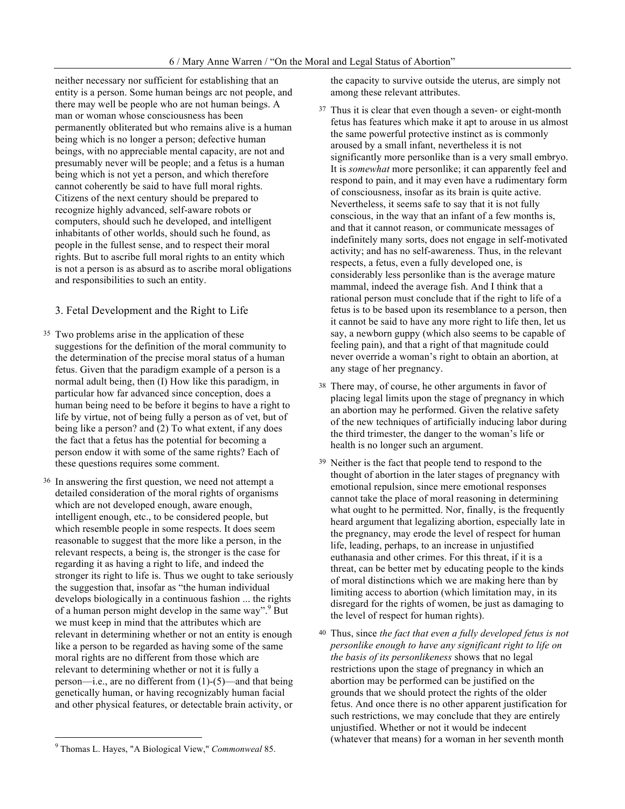neither necessary nor sufficient for establishing that an entity is a person. Some human beings arc not people, and there may well be people who are not human beings. A man or woman whose consciousness has been permanently obliterated but who remains alive is a human being which is no longer a person; defective human beings, with no appreciable mental capacity, are not and presumably never will be people; and a fetus is a human being which is not yet a person, and which therefore cannot coherently be said to have full moral rights. Citizens of the next century should be prepared to recognize highly advanced, self-aware robots or computers, should such he developed, and intelligent inhabitants of other worlds, should such he found, as people in the fullest sense, and to respect their moral rights. But to ascribe full moral rights to an entity which is not a person is as absurd as to ascribe moral obligations and responsibilities to such an entity.

# 3. Fetal Development and the Right to Life

- 35 Two problems arise in the application of these suggestions for the definition of the moral community to the determination of the precise moral status of a human fetus. Given that the paradigm example of a person is a normal adult being, then (I) How like this paradigm, in particular how far advanced since conception, does a human being need to be before it begins to have a right to life by virtue, not of being fully a person as of vet, but of being like a person? and (2) To what extent, if any does the fact that a fetus has the potential for becoming a person endow it with some of the same rights? Each of these questions requires some comment.
- 36 In answering the first question, we need not attempt a detailed consideration of the moral rights of organisms which are not developed enough, aware enough, intelligent enough, etc., to be considered people, but which resemble people in some respects. It does seem reasonable to suggest that the more like a person, in the relevant respects, a being is, the stronger is the case for regarding it as having a right to life, and indeed the stronger its right to life is. Thus we ought to take seriously the suggestion that, insofar as "the human individual develops biologically in a continuous fashion ... the rights of a human person might develop in the same way".<sup>9</sup> But we must keep in mind that the attributes which are relevant in determining whether or not an entity is enough like a person to be regarded as having some of the same moral rights are no different from those which are relevant to determining whether or not it is fully a person—i.e., are no different from (1)-(5)—and that being genetically human, or having recognizably human facial and other physical features, or detectable brain activity, or

the capacity to survive outside the uterus, are simply not among these relevant attributes.

- 37 Thus it is clear that even though a seven- or eight-month fetus has features which make it apt to arouse in us almost the same powerful protective instinct as is commonly aroused by a small infant, nevertheless it is not significantly more personlike than is a very small embryo. It is *somewhat* more personlike; it can apparently feel and respond to pain, and it may even have a rudimentary form of consciousness, insofar as its brain is quite active. Nevertheless, it seems safe to say that it is not fully conscious, in the way that an infant of a few months is, and that it cannot reason, or communicate messages of indefinitely many sorts, does not engage in self-motivated activity; and has no self-awareness. Thus, in the relevant respects, a fetus, even a fully developed one, is considerably less personlike than is the average mature mammal, indeed the average fish. And I think that a rational person must conclude that if the right to life of a fetus is to be based upon its resemblance to a person, then it cannot be said to have any more right to life then, let us say, a newborn guppy (which also seems to be capable of feeling pain), and that a right of that magnitude could never override a woman's right to obtain an abortion, at any stage of her pregnancy.
- 38 There may, of course, he other arguments in favor of placing legal limits upon the stage of pregnancy in which an abortion may he performed. Given the relative safety of the new techniques of artificially inducing labor during the third trimester, the danger to the woman's life or health is no longer such an argument.
- 39 Neither is the fact that people tend to respond to the thought of abortion in the later stages of pregnancy with emotional repulsion, since mere emotional responses cannot take the place of moral reasoning in determining what ought to he permitted. Nor, finally, is the frequently heard argument that legalizing abortion, especially late in the pregnancy, may erode the level of respect for human life, leading, perhaps, to an increase in unjustified euthanasia and other crimes. For this threat, if it is a threat, can be better met by educating people to the kinds of moral distinctions which we are making here than by limiting access to abortion (which limitation may, in its disregard for the rights of women, be just as damaging to the level of respect for human rights).
- 40 Thus, since *the fact that even a fully developed fetus is not personlike enough to have any significant right to life on the basis of its personlikeness* shows that no legal restrictions upon the stage of pregnancy in which an abortion may be performed can be justified on the grounds that we should protect the rights of the older fetus. And once there is no other apparent justification for such restrictions, we may conclude that they are entirely unjustified. Whether or not it would be indecent (whatever that means) for a woman in her seventh month

 <sup>9</sup> Thomas L. Hayes, "A Biological View," *Commonweal* 85.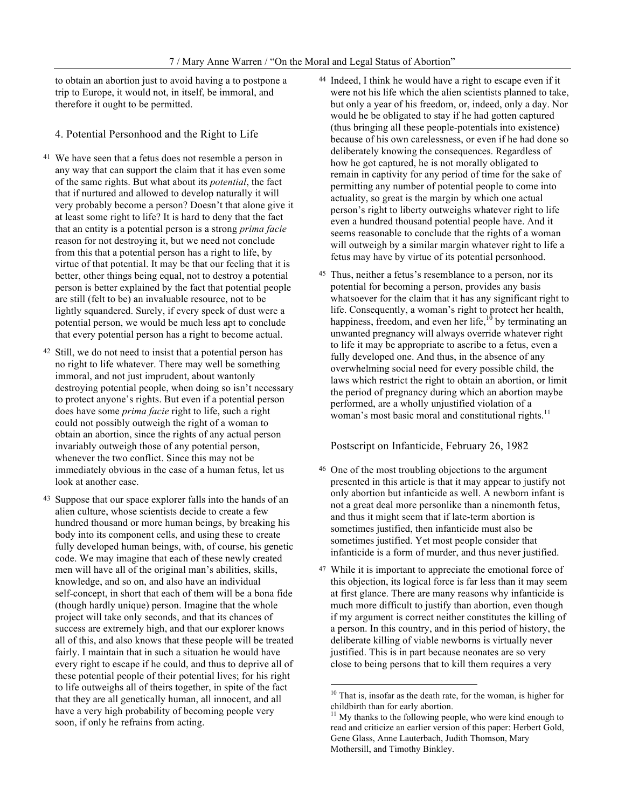to obtain an abortion just to avoid having a to postpone a trip to Europe, it would not, in itself, be immoral, and therefore it ought to be permitted.

- 4. Potential Personhood and the Right to Life
- 41 We have seen that a fetus does not resemble a person in any way that can support the claim that it has even some of the same rights. But what about its *potential*, the fact that if nurtured and allowed to develop naturally it will very probably become a person? Doesn't that alone give it at least some right to life? It is hard to deny that the fact that an entity is a potential person is a strong *prima facie* reason for not destroying it, but we need not conclude from this that a potential person has a right to life, by virtue of that potential. It may be that our feeling that it is better, other things being equal, not to destroy a potential person is better explained by the fact that potential people are still (felt to be) an invaluable resource, not to be lightly squandered. Surely, if every speck of dust were a potential person, we would be much less apt to conclude that every potential person has a right to become actual.
- 42 Still, we do not need to insist that a potential person has no right to life whatever. There may well be something immoral, and not just imprudent, about wantonly destroying potential people, when doing so isn't necessary to protect anyone's rights. But even if a potential person does have some *prima facie* right to life, such a right could not possibly outweigh the right of a woman to obtain an abortion, since the rights of any actual person invariably outweigh those of any potential person, whenever the two conflict. Since this may not be immediately obvious in the case of a human fetus, let us look at another ease.
- 43 Suppose that our space explorer falls into the hands of an alien culture, whose scientists decide to create a few hundred thousand or more human beings, by breaking his body into its component cells, and using these to create fully developed human beings, with, of course, his genetic code. We may imagine that each of these newly created men will have all of the original man's abilities, skills, knowledge, and so on, and also have an individual self-concept, in short that each of them will be a bona fide (though hardly unique) person. Imagine that the whole project will take only seconds, and that its chances of success are extremely high, and that our explorer knows all of this, and also knows that these people will be treated fairly. I maintain that in such a situation he would have every right to escape if he could, and thus to deprive all of these potential people of their potential lives; for his right to life outweighs all of theirs together, in spite of the fact that they are all genetically human, all innocent, and all have a very high probability of becoming people very soon, if only he refrains from acting.
- 44 Indeed, I think he would have a right to escape even if it were not his life which the alien scientists planned to take, but only a year of his freedom, or, indeed, only a day. Nor would he be obligated to stay if he had gotten captured (thus bringing all these people-potentials into existence) because of his own carelessness, or even if he had done so deliberately knowing the consequences. Regardless of how he got captured, he is not morally obligated to remain in captivity for any period of time for the sake of permitting any number of potential people to come into actuality, so great is the margin by which one actual person's right to liberty outweighs whatever right to life even a hundred thousand potential people have. And it seems reasonable to conclude that the rights of a woman will outweigh by a similar margin whatever right to life a fetus may have by virtue of its potential personhood.
- 45 Thus, neither a fetus's resemblance to a person, nor its potential for becoming a person, provides any basis whatsoever for the claim that it has any significant right to life. Consequently, a woman's right to protect her health, happiness, freedom, and even her life,  $10<sup>10</sup>$  by terminating an unwanted pregnancy will always override whatever right to life it may be appropriate to ascribe to a fetus, even a fully developed one. And thus, in the absence of any overwhelming social need for every possible child, the laws which restrict the right to obtain an abortion, or limit the period of pregnancy during which an abortion maybe performed, are a wholly unjustified violation of a woman's most basic moral and constitutional rights.<sup>11</sup>

#### Postscript on Infanticide, February 26, 1982

- 46 One of the most troubling objections to the argument presented in this article is that it may appear to justify not only abortion but infanticide as well. A newborn infant is not a great deal more personlike than a ninemonth fetus, and thus it might seem that if late-term abortion is sometimes justified, then infanticide must also be sometimes justified. Yet most people consider that infanticide is a form of murder, and thus never justified.
- 47 While it is important to appreciate the emotional force of this objection, its logical force is far less than it may seem at first glance. There are many reasons why infanticide is much more difficult to justify than abortion, even though if my argument is correct neither constitutes the killing of a person. In this country, and in this period of history, the deliberate killing of viable newborns is virtually never justified. This is in part because neonates are so very close to being persons that to kill them requires a very

 $10$  That is, insofar as the death rate, for the woman, is higher for childbirth than for early abortion.

 $11$  My thanks to the following people, who were kind enough to read and criticize an earlier version of this paper: Herbert Gold, Gene Glass, Anne Lauterbach, Judith Thomson, Mary Mothersill, and Timothy Binkley.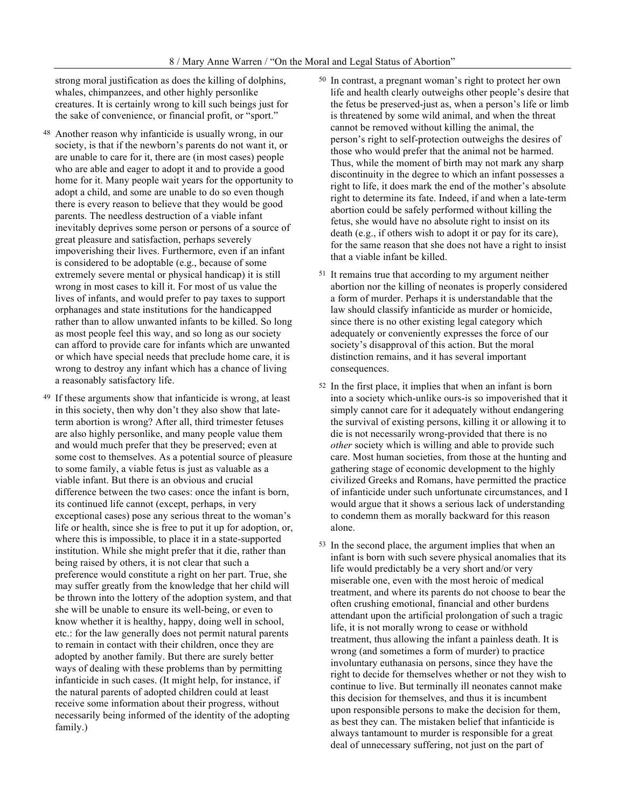strong moral justification as does the killing of dolphins, whales, chimpanzees, and other highly personlike creatures. It is certainly wrong to kill such beings just for the sake of convenience, or financial profit, or "sport."

- 48 Another reason why infanticide is usually wrong, in our society, is that if the newborn's parents do not want it, or are unable to care for it, there are (in most cases) people who are able and eager to adopt it and to provide a good home for it. Many people wait years for the opportunity to adopt a child, and some are unable to do so even though there is every reason to believe that they would be good parents. The needless destruction of a viable infant inevitably deprives some person or persons of a source of great pleasure and satisfaction, perhaps severely impoverishing their lives. Furthermore, even if an infant is considered to be adoptable (e.g., because of some extremely severe mental or physical handicap) it is still wrong in most cases to kill it. For most of us value the lives of infants, and would prefer to pay taxes to support orphanages and state institutions for the handicapped rather than to allow unwanted infants to be killed. So long as most people feel this way, and so long as our society can afford to provide care for infants which are unwanted or which have special needs that preclude home care, it is wrong to destroy any infant which has a chance of living a reasonably satisfactory life.
- 49 If these arguments show that infanticide is wrong, at least in this society, then why don't they also show that lateterm abortion is wrong? After all, third trimester fetuses are also highly personlike, and many people value them and would much prefer that they be preserved; even at some cost to themselves. As a potential source of pleasure to some family, a viable fetus is just as valuable as a viable infant. But there is an obvious and crucial difference between the two cases: once the infant is born, its continued life cannot (except, perhaps, in very exceptional cases) pose any serious threat to the woman's life or health, since she is free to put it up for adoption, or, where this is impossible, to place it in a state-supported institution. While she might prefer that it die, rather than being raised by others, it is not clear that such a preference would constitute a right on her part. True, she may suffer greatly from the knowledge that her child will be thrown into the lottery of the adoption system, and that she will be unable to ensure its well-being, or even to know whether it is healthy, happy, doing well in school, etc.: for the law generally does not permit natural parents to remain in contact with their children, once they are adopted by another family. But there are surely better ways of dealing with these problems than by permitting infanticide in such cases. (It might help, for instance, if the natural parents of adopted children could at least receive some information about their progress, without necessarily being informed of the identity of the adopting family.)
- 50 In contrast, a pregnant woman's right to protect her own life and health clearly outweighs other people's desire that the fetus be preserved-just as, when a person's life or limb is threatened by some wild animal, and when the threat cannot be removed without killing the animal, the person's right to self-protection outweighs the desires of those who would prefer that the animal not be harmed. Thus, while the moment of birth may not mark any sharp discontinuity in the degree to which an infant possesses a right to life, it does mark the end of the mother's absolute right to determine its fate. Indeed, if and when a late-term abortion could be safely performed without killing the fetus, she would have no absolute right to insist on its death (e.g., if others wish to adopt it or pay for its care), for the same reason that she does not have a right to insist that a viable infant be killed.
- 51 It remains true that according to my argument neither abortion nor the killing of neonates is properly considered a form of murder. Perhaps it is understandable that the law should classify infanticide as murder or homicide, since there is no other existing legal category which adequately or conveniently expresses the force of our society's disapproval of this action. But the moral distinction remains, and it has several important consequences.
- 52 In the first place, it implies that when an infant is born into a society which-unlike ours-is so impoverished that it simply cannot care for it adequately without endangering the survival of existing persons, killing it or allowing it to die is not necessarily wrong-provided that there is no *other* society which is willing and able to provide such care. Most human societies, from those at the hunting and gathering stage of economic development to the highly civilized Greeks and Romans, have permitted the practice of infanticide under such unfortunate circumstances, and I would argue that it shows a serious lack of understanding to condemn them as morally backward for this reason alone.
- 53 In the second place, the argument implies that when an infant is born with such severe physical anomalies that its life would predictably be a very short and/or very miserable one, even with the most heroic of medical treatment, and where its parents do not choose to bear the often crushing emotional, financial and other burdens attendant upon the artificial prolongation of such a tragic life, it is not morally wrong to cease or withhold treatment, thus allowing the infant a painless death. It is wrong (and sometimes a form of murder) to practice involuntary euthanasia on persons, since they have the right to decide for themselves whether or not they wish to continue to live. But terminally ill neonates cannot make this decision for themselves, and thus it is incumbent upon responsible persons to make the decision for them, as best they can. The mistaken belief that infanticide is always tantamount to murder is responsible for a great deal of unnecessary suffering, not just on the part of